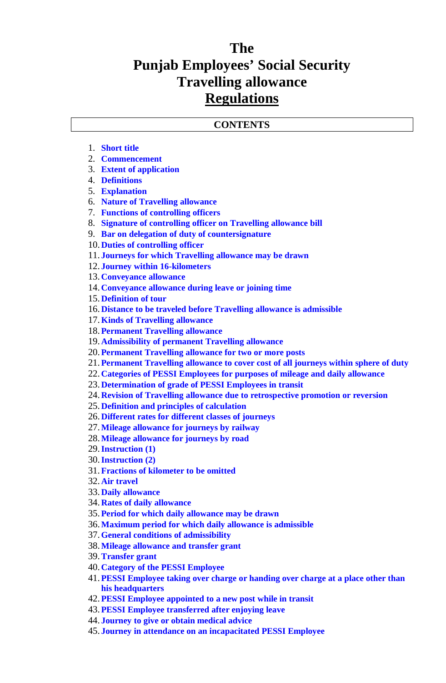## **The Punjab Employees' Social Security Travelling allowance Regulations**

#### **CONTENTS**

- 1. **Short title**
- 2. **Commencement**
- 3. **Extent of application**
- 4. **Definitions**
- 5. **Explanation**
- 6. **Nature of Travelling allowance**
- 7. **Functions of controlling officers**
- 8. **Signature of controlling officer on Travelling allowance bill**
- 9. **Bar on delegation of duty of countersignature**
- 10. **Duties of controlling officer**
- 11. **Journeys for which Travelling allowance may be drawn**
- 12. **Journey within 16-kilometers**
- 13. **Conveyance allowance**
- 14. **Conveyance allowance during leave or joining time**
- 15. **Definition of tour**
- 16. **Distance to be traveled before Travelling allowance is admissible**
- 17.**Kinds of Travelling allowance**
- 18.**Permanent Travelling allowance**
- 19. **Admissibility of permanent Travelling allowance**
- 20.**Permanent Travelling allowance for two or more posts**
- 21.**Permanent Travelling allowance to cover cost of all journeys within sphere of duty**
- 22. **Categories of PESSI Employees for purposes of mileage and daily allowance**
- 23. **Determination of grade of PESSI Employees in transit**
- 24. **Revision of Travelling allowance due to retrospective promotion or reversion**
- 25. **Definition and principles of calculation**
- 26. **Different rates for different classes of journeys**
- 27.**Mileage allowance for journeys by railway**
- 28.**Mileage allowance for journeys by road**
- 29.**Instruction (1)**
- 30.**Instruction (2)**
- 31.**Fractions of kilometer to be omitted**
- 32. **Air travel**
- 33. **Daily allowance**
- 34. **Rates of daily allowance**
- 35.**Period for which daily allowance may be drawn**
- 36.**Maximum period for which daily allowance is admissible**
- 37.**General conditions of admissibility**
- 38.**Mileage allowance and transfer grant**
- 39.**Transfer grant**
- 40. **Category of the PESSI Employee**
- 41.**PESSI Employee taking over charge or handing over charge at a place other than his headquarters**
- 42.**PESSI Employee appointed to a new post while in transit**
- 43.**PESSI Employee transferred after enjoying leave**
- 44. **Journey to give or obtain medical advice**
- 45. **Journey in attendance on an incapacitated PESSI Employee**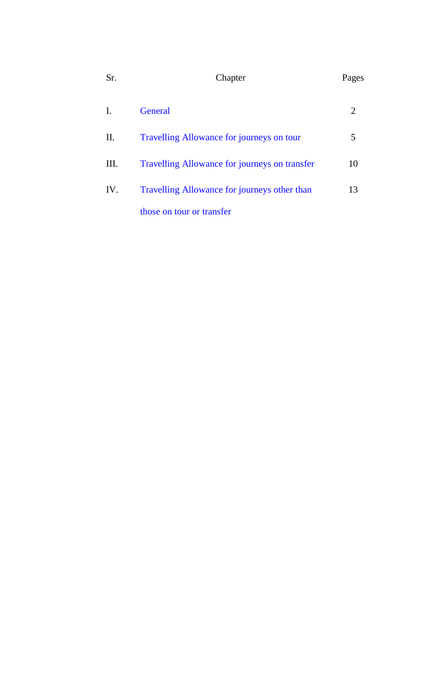| Sr. | Chapter                                       |                             |  |  |
|-----|-----------------------------------------------|-----------------------------|--|--|
| I.  | <b>General</b>                                | $\mathcal{D}_{\mathcal{L}}$ |  |  |
| П.  | Travelling Allowance for journeys on tour     | 5                           |  |  |
| Ш.  | Travelling Allowance for journeys on transfer | 10                          |  |  |
| IV. | Travelling Allowance for journeys other than  | 13                          |  |  |
|     | those on tour or transfer                     |                             |  |  |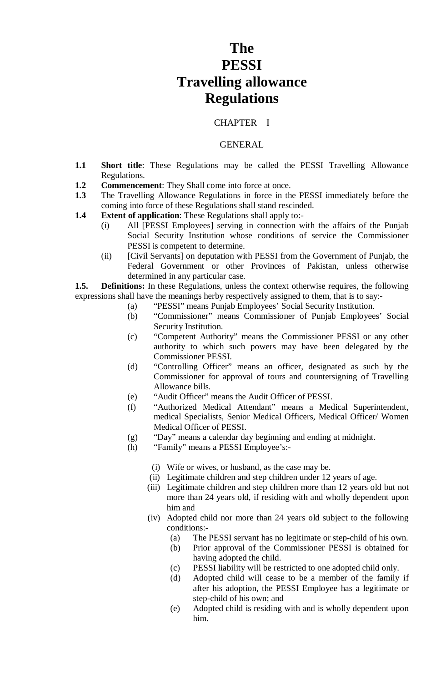# **The PESSI Travelling allowance Regulations**

### CHAPTER I

#### GENERAL

- **1.1 Short title**: These Regulations may be called the PESSI Travelling Allowance Regulations.
- **1.2 Commencement**: They Shall come into force at once.
- **1.3** The Travelling Allowance Regulations in force in the PESSI immediately before the coming into force of these Regulations shall stand rescinded.
- **1.4 Extent of application**: These Regulations shall apply to:-
	- (i) All [PESSI Employees] serving in connection with the affairs of the Punjab Social Security Institution whose conditions of service the Commissioner PESSI is competent to determine.
	- (ii) [Civil Servants] on deputation with PESSI from the Government of Punjab, the Federal Government or other Provinces of Pakistan, unless otherwise determined in any particular case.

**1.5. Definitions:** In these Regulations, unless the context otherwise requires, the following expressions shall have the meanings herby respectively assigned to them, that is to say:-

- (a) "PESSI" means Punjab Employees' Social Security Institution.
- (b) "Commissioner" means Commissioner of Punjab Employees' Social Security Institution.
- (c) "Competent Authority" means the Commissioner PESSI or any other authority to which such powers may have been delegated by the Commissioner PESSI.
- (d) "Controlling Officer" means an officer, designated as such by the Commissioner for approval of tours and countersigning of Travelling Allowance bills.
- (e) "Audit Officer" means the Audit Officer of PESSI.
- (f) "Authorized Medical Attendant" means a Medical Superintendent, medical Specialists, Senior Medical Officers, Medical Officer/ Women Medical Officer of PESSI.
- (g) "Day" means a calendar day beginning and ending at midnight.
- (h) "Family" means a PESSI Employee's:-
	- (i) Wife or wives, or husband, as the case may be.
	- (ii) Legitimate children and step children under 12 years of age.
	- (iii) Legitimate children and step children more than 12 years old but not more than 24 years old, if residing with and wholly dependent upon him and
	- (iv) Adopted child nor more than 24 years old subject to the following conditions:-
		- (a) The PESSI servant has no legitimate or step-child of his own.
		- (b) Prior approval of the Commissioner PESSI is obtained for having adopted the child.
		- (c) PESSI liability will be restricted to one adopted child only.
		- (d) Adopted child will cease to be a member of the family if after his adoption, the PESSI Employee has a legitimate or step-child of his own; and
		- (e) Adopted child is residing with and is wholly dependent upon him.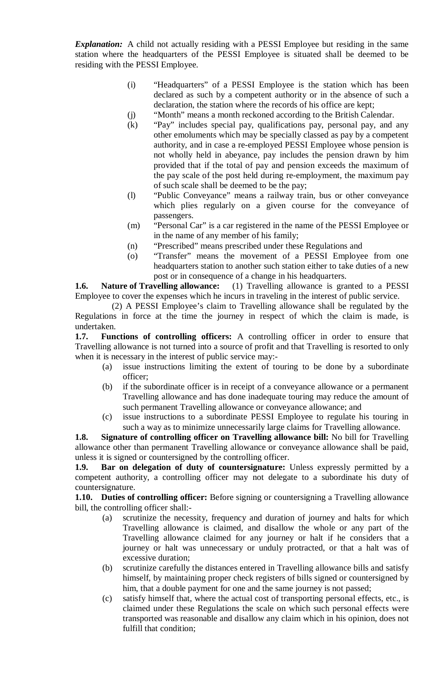*Explanation:* A child not actually residing with a PESSI Employee but residing in the same station where the headquarters of the PESSI Employee is situated shall be deemed to be residing with the PESSI Employee.

- (i) "Headquarters" of a PESSI Employee is the station which has been declared as such by a competent authority or in the absence of such a declaration, the station where the records of his office are kept;
- (j) "Month" means a month reckoned according to the British Calendar.
- (k) "Pay" includes special pay, qualifications pay, personal pay, and any other emoluments which may be specially classed as pay by a competent authority, and in case a re-employed PESSI Employee whose pension is not wholly held in abeyance, pay includes the pension drawn by him provided that if the total of pay and pension exceeds the maximum of the pay scale of the post held during re-employment, the maximum pay of such scale shall be deemed to be the pay;
- (l) "Public Conveyance" means a railway train, bus or other conveyance which plies regularly on a given course for the conveyance of passengers.
- (m) "Personal Car" is a car registered in the name of the PESSI Employee or in the name of any member of his family;
- (n) "Prescribed" means prescribed under these Regulations and
- (o) "Transfer" means the movement of a PESSI Employee from one headquarters station to another such station either to take duties of a new post or in consequence of a change in his headquarters.

**1.6. Nature of Travelling allowance:** (1) Travelling allowance is granted to a PESSI Employee to cover the expenses which he incurs in traveling in the interest of public service.

 (2) A PESSI Employee's claim to Travelling allowance shall be regulated by the Regulations in force at the time the journey in respect of which the claim is made, is undertaken.

**1.7. Functions of controlling officers:** A controlling officer in order to ensure that Travelling allowance is not turned into a source of profit and that Travelling is resorted to only when it is necessary in the interest of public service may:-

- (a) issue instructions limiting the extent of touring to be done by a subordinate officer;
- (b) if the subordinate officer is in receipt of a conveyance allowance or a permanent Travelling allowance and has done inadequate touring may reduce the amount of such permanent Travelling allowance or conveyance allowance; and
- (c) issue instructions to a subordinate PESSI Employee to regulate his touring in such a way as to minimize unnecessarily large claims for Travelling allowance.

**1.8. Signature of controlling officer on Travelling allowance bill:** No bill for Travelling allowance other than permanent Travelling allowance or conveyance allowance shall be paid, unless it is signed or countersigned by the controlling officer.

**1.9. Bar on delegation of duty of countersignature:** Unless expressly permitted by a competent authority, a controlling officer may not delegate to a subordinate his duty of countersignature.

**1.10. Duties of controlling officer:** Before signing or countersigning a Travelling allowance bill, the controlling officer shall:-

- (a) scrutinize the necessity, frequency and duration of journey and halts for which Travelling allowance is claimed, and disallow the whole or any part of the Travelling allowance claimed for any journey or halt if he considers that a journey or halt was unnecessary or unduly protracted, or that a halt was of excessive duration;
- (b) scrutinize carefully the distances entered in Travelling allowance bills and satisfy himself, by maintaining proper check registers of bills signed or countersigned by him, that a double payment for one and the same journey is not passed;
- (c) satisfy himself that, where the actual cost of transporting personal effects, etc., is claimed under these Regulations the scale on which such personal effects were transported was reasonable and disallow any claim which in his opinion, does not fulfill that condition;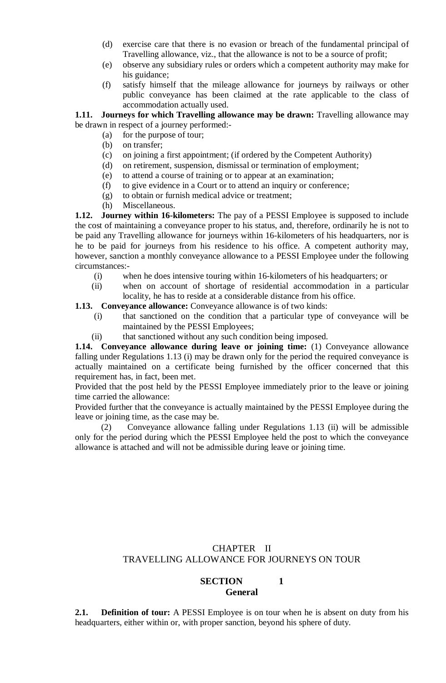- (d) exercise care that there is no evasion or breach of the fundamental principal of Travelling allowance, viz., that the allowance is not to be a source of profit;
- (e) observe any subsidiary rules or orders which a competent authority may make for his guidance;
- (f) satisfy himself that the mileage allowance for journeys by railways or other public conveyance has been claimed at the rate applicable to the class of accommodation actually used.

**1.11. Journeys for which Travelling allowance may be drawn:** Travelling allowance may be drawn in respect of a journey performed:-

- (a) for the purpose of tour;
	- (b) on transfer;
	- (c) on joining a first appointment; (if ordered by the Competent Authority)
	- (d) on retirement, suspension, dismissal or termination of employment;
	- (e) to attend a course of training or to appear at an examination;
	- (f) to give evidence in a Court or to attend an inquiry or conference;
	- (g) to obtain or furnish medical advice or treatment;
	- (h) Miscellaneous.

**1.12. Journey within 16-kilometers:** The pay of a PESSI Employee is supposed to include the cost of maintaining a conveyance proper to his status, and, therefore, ordinarily he is not to be paid any Travelling allowance for journeys within 16-kilometers of his headquarters, nor is he to be paid for journeys from his residence to his office. A competent authority may, however, sanction a monthly conveyance allowance to a PESSI Employee under the following circumstances:-

- (i) when he does intensive touring within 16-kilometers of his headquarters; or
- (ii) when on account of shortage of residential accommodation in a particular locality, he has to reside at a considerable distance from his office.

#### **1.13. Conveyance allowance:** Conveyance allowance is of two kinds:

- (i) that sanctioned on the condition that a particular type of conveyance will be maintained by the PESSI Employees;
- (ii) that sanctioned without any such condition being imposed.

**1.14. Conveyance allowance during leave or joining time:** (1) Conveyance allowance falling under Regulations 1.13 (i) may be drawn only for the period the required conveyance is actually maintained on a certificate being furnished by the officer concerned that this requirement has, in fact, been met.

Provided that the post held by the PESSI Employee immediately prior to the leave or joining time carried the allowance:

Provided further that the conveyance is actually maintained by the PESSI Employee during the leave or joining time, as the case may be.

(2) Conveyance allowance falling under Regulations 1.13 (ii) will be admissible only for the period during which the PESSI Employee held the post to which the conveyance allowance is attached and will not be admissible during leave or joining time.

## CHAPTER II TRAVELLING ALLOWANCE FOR JOURNEYS ON TOUR

## **SECTION 1 General**

**2.1. Definition of tour:** A PESSI Employee is on tour when he is absent on duty from his headquarters, either within or, with proper sanction, beyond his sphere of duty.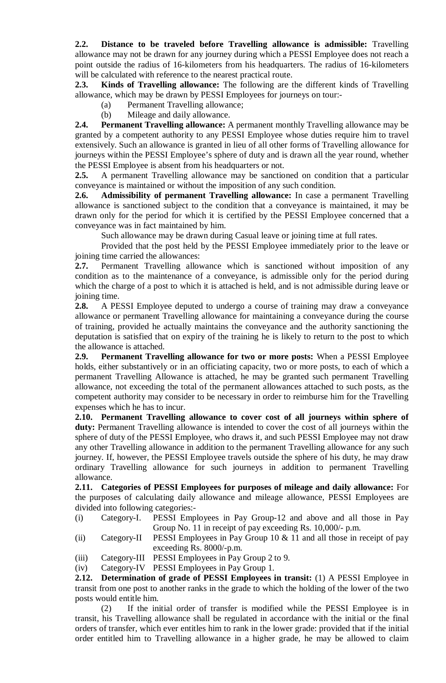**2.2. Distance to be traveled before Travelling allowance is admissible:** Travelling allowance may not be drawn for any journey during which a PESSI Employee does not reach a point outside the radius of 16-kilometers from his headquarters. The radius of 16-kilometers will be calculated with reference to the nearest practical route.

**2.3. Kinds of Travelling allowance:** The following are the different kinds of Travelling allowance, which may be drawn by PESSI Employees for journeys on tour:-

- (a) Permanent Travelling allowance;
- (b) Mileage and daily allowance.

**2.4. Permanent Travelling allowance:** A permanent monthly Travelling allowance may be granted by a competent authority to any PESSI Employee whose duties require him to travel extensively. Such an allowance is granted in lieu of all other forms of Travelling allowance for journeys within the PESSI Employee's sphere of duty and is drawn all the year round, whether the PESSI Employee is absent from his headquarters or not.

**2.5.** A permanent Travelling allowance may be sanctioned on condition that a particular conveyance is maintained or without the imposition of any such condition.

**2.6. Admissibility of permanent Travelling allowance:** In case a permanent Travelling allowance is sanctioned subject to the condition that a conveyance is maintained, it may be drawn only for the period for which it is certified by the PESSI Employee concerned that a conveyance was in fact maintained by him.

Such allowance may be drawn during Casual leave or joining time at full rates.

Provided that the post held by the PESSI Employee immediately prior to the leave or joining time carried the allowances:

**2.7.** Permanent Travelling allowance which is sanctioned without imposition of any condition as to the maintenance of a conveyance, is admissible only for the period during which the charge of a post to which it is attached is held, and is not admissible during leave or joining time.

**2.8.** A PESSI Employee deputed to undergo a course of training may draw a conveyance allowance or permanent Travelling allowance for maintaining a conveyance during the course of training, provided he actually maintains the conveyance and the authority sanctioning the deputation is satisfied that on expiry of the training he is likely to return to the post to which the allowance is attached.

**2.9. Permanent Travelling allowance for two or more posts:** When a PESSI Employee holds, either substantively or in an officiating capacity, two or more posts, to each of which a permanent Travelling Allowance is attached, he may be granted such permanent Travelling allowance, not exceeding the total of the permanent allowances attached to such posts, as the competent authority may consider to be necessary in order to reimburse him for the Travelling expenses which he has to incur.

**2.10. Permanent Travelling allowance to cover cost of all journeys within sphere of duty:** Permanent Travelling allowance is intended to cover the cost of all journeys within the sphere of duty of the PESSI Employee, who draws it, and such PESSI Employee may not draw any other Travelling allowance in addition to the permanent Travelling allowance for any such journey. If, however, the PESSI Employee travels outside the sphere of his duty, he may draw ordinary Travelling allowance for such journeys in addition to permanent Travelling allowance.

**2.11. Categories of PESSI Employees for purposes of mileage and daily allowance:** For the purposes of calculating daily allowance and mileage allowance, PESSI Employees are divided into following categories:-

- (i) Category-I. PESSI Employees in Pay Group-12 and above and all those in Pay Group No. 11 in receipt of pay exceeding Rs. 10,000/- p.m.
- (ii) Category-II PESSI Employees in Pay Group 10 & 11 and all those in receipt of pay exceeding Rs. 8000/-p.m.
- (iii) Category-III PESSI Employees in Pay Group 2 to 9.

(iv) Category-IV PESSI Employees in Pay Group 1.

**2.12. Determination of grade of PESSI Employees in transit:** (1) A PESSI Employee in transit from one post to another ranks in the grade to which the holding of the lower of the two posts would entitle him.

(2) If the initial order of transfer is modified while the PESSI Employee is in transit, his Travelling allowance shall be regulated in accordance with the initial or the final orders of transfer, which ever entitles him to rank in the lower grade: provided that if the initial order entitled him to Travelling allowance in a higher grade, he may be allowed to claim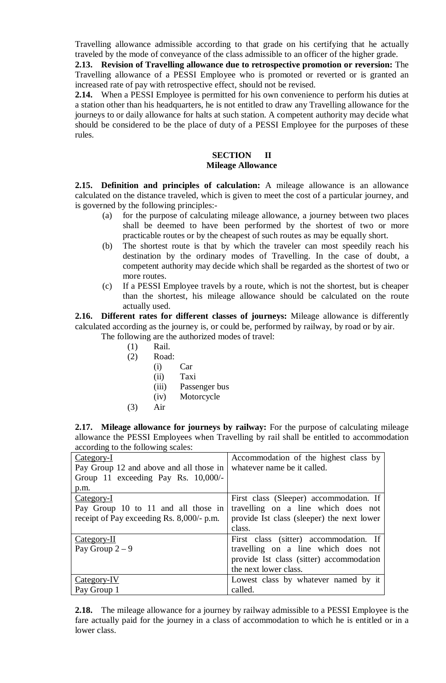Travelling allowance admissible according to that grade on his certifying that he actually traveled by the mode of conveyance of the class admissible to an officer of the higher grade.

**2.13. Revision of Travelling allowance due to retrospective promotion or reversion:** The Travelling allowance of a PESSI Employee who is promoted or reverted or is granted an increased rate of pay with retrospective effect, should not be revised.

**2.14.** When a PESSI Employee is permitted for his own convenience to perform his duties at a station other than his headquarters, he is not entitled to draw any Travelling allowance for the journeys to or daily allowance for halts at such station. A competent authority may decide what should be considered to be the place of duty of a PESSI Employee for the purposes of these rules.

#### **SECTION II Mileage Allowance**

**2.15. Definition and principles of calculation:** A mileage allowance is an allowance calculated on the distance traveled, which is given to meet the cost of a particular journey, and is governed by the following principles:-

- (a) for the purpose of calculating mileage allowance, a journey between two places shall be deemed to have been performed by the shortest of two or more practicable routes or by the cheapest of such routes as may be equally short.
- (b) The shortest route is that by which the traveler can most speedily reach his destination by the ordinary modes of Travelling. In the case of doubt, a competent authority may decide which shall be regarded as the shortest of two or more routes.
- (c) If a PESSI Employee travels by a route, which is not the shortest, but is cheaper than the shortest, his mileage allowance should be calculated on the route actually used.

**2.16. Different rates for different classes of journeys:** Mileage allowance is differently calculated according as the journey is, or could be, performed by railway, by road or by air.

- The following are the authorized modes of travel:
	- (1) Rail.
	- (2) Road:
		- (i) Car
		- (ii) Taxi
		- (iii) Passenger bus
		- (iv) Motorcycle
	- (3) Air

**2.17. Mileage allowance for journeys by railway:** For the purpose of calculating mileage allowance the PESSI Employees when Travelling by rail shall be entitled to accommodation according to the following scales:

| $\alpha$ according to the following beares. |                                            |
|---------------------------------------------|--------------------------------------------|
| Category-I                                  | Accommodation of the highest class by      |
| Pay Group 12 and above and all those in     | whatever name be it called.                |
| Group 11 exceeding Pay Rs. 10,000/-         |                                            |
| p.m.                                        |                                            |
| Category-I                                  | First class (Sleeper) accommodation. If    |
| Pay Group 10 to 11 and all those in         | travelling on a line which does not        |
| receipt of Pay exceeding Rs. 8,000/- p.m.   | provide Ist class (sleeper) the next lower |
|                                             | class.                                     |
| Category-II                                 | First class (sitter) accommodation. If     |
| Pay Group $2-9$                             | travelling on a line which does not        |
|                                             | provide Ist class (sitter) accommodation   |
|                                             | the next lower class.                      |
| Category-IV                                 | Lowest class by whatever named by it       |
| Pay Group 1                                 | called.                                    |

**2.18.** The mileage allowance for a journey by railway admissible to a PESSI Employee is the fare actually paid for the journey in a class of accommodation to which he is entitled or in a lower class.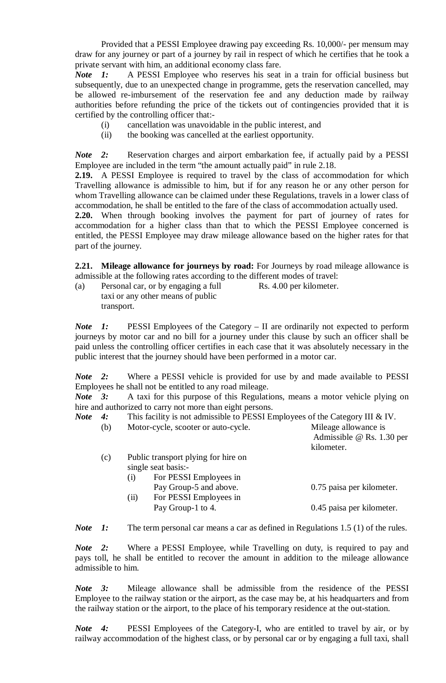Provided that a PESSI Employee drawing pay exceeding Rs. 10,000/- per mensum may draw for any journey or part of a journey by rail in respect of which he certifies that he took a private servant with him, an additional economy class fare.

*Note 1*: A PESSI Employee who reserves his seat in a train for official business but subsequently, due to an unexpected change in programme, gets the reservation cancelled, may be allowed re-imbursement of the reservation fee and any deduction made by railway authorities before refunding the price of the tickets out of contingencies provided that it is certified by the controlling officer that:-

- (i) cancellation was unavoidable in the public interest, and
- (ii) the booking was cancelled at the earliest opportunity.

*Note* 2: Reservation charges and airport embarkation fee, if actually paid by a PESSI Employee are included in the term "the amount actually paid" in rule 2.18.

**2.19.** A PESSI Employee is required to travel by the class of accommodation for which Travelling allowance is admissible to him, but if for any reason he or any other person for whom Travelling allowance can be claimed under these Regulations, travels in a lower class of accommodation, he shall be entitled to the fare of the class of accommodation actually used.

**2.20.** When through booking involves the payment for part of journey of rates for accommodation for a higher class than that to which the PESSI Employee concerned is entitled, the PESSI Employee may draw mileage allowance based on the higher rates for that part of the journey.

**2.21. Mileage allowance for journeys by road:** For Journeys by road mileage allowance is admissible at the following rates according to the different modes of travel:<br>(a) Personal car, or by engaging a full Rs. 4.00 per kilometer.

(a) Personal car, or by engaging a full taxi or any other means of public transport.

*Note* 1: PESSI Employees of the Category – II are ordinarily not expected to perform journeys by motor car and no bill for a journey under this clause by such an officer shall be paid unless the controlling officer certifies in each case that it was absolutely necessary in the public interest that the journey should have been performed in a motor car.

*Note 2:* Where a PESSI vehicle is provided for use by and made available to PESSI Employees he shall not be entitled to any road mileage.

*Note 3:* A taxi for this purpose of this Regulations, means a motor vehicle plying on hire and authorized to carry not more than eight persons.

| This facility is not admissible to PESSI Employees of the Category III & IV.<br>Note 4: |  |
|-----------------------------------------------------------------------------------------|--|
|-----------------------------------------------------------------------------------------|--|

| (b) | Motor-cycle, scooter or auto-cycle.                                                         | Mileage allowance is<br>Admissible $@$ Rs. 1.30 per<br>kilometer. |
|-----|---------------------------------------------------------------------------------------------|-------------------------------------------------------------------|
| (c) | Public transport plying for hire on<br>single seat basis:-<br>For PESSI Employees in<br>(i) |                                                                   |
|     | Pay Group-5 and above.<br>For PESSI Employees in<br>(ii)<br>Pay Group-1 to 4.               | 0.75 paisa per kilometer.<br>0.45 paisa per kilometer.            |

*Note* 1: The term personal car means a car as defined in Regulations 1.5 (1) of the rules.

*Note 2:* Where a PESSI Employee, while Travelling on duty, is required to pay and pays toll, he shall be entitled to recover the amount in addition to the mileage allowance admissible to him.

*Note 3:* Mileage allowance shall be admissible from the residence of the PESSI Employee to the railway station or the airport, as the case may be, at his headquarters and from the railway station or the airport, to the place of his temporary residence at the out-station.

*Note 4:* PESSI Employees of the Category-I, who are entitled to travel by air, or by railway accommodation of the highest class, or by personal car or by engaging a full taxi, shall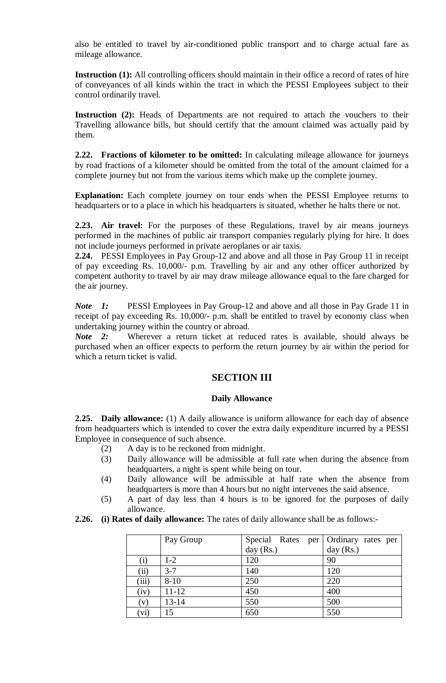also be entitled to travel by air-conditioned public transport and to charge actual fare as mileage allowance.

**Instruction (1):** All controlling officers should maintain in their office a record of rates of hire of conveyances of all kinds within the tract in which the PESSI Employees subject to their control ordinarily travel.

Instruction (2): Heads of Departments are not required to attach the vouchers to their Travelling allowance bills, but should certify that the amount claimed was actually paid by them.

**2.22. Fractions of kilometer to be omitted:** In calculating mileage allowance for journeys by road fractions of a kilometer should be omitted from the total of the amount claimed for a complete journey but not from the various items which make up the complete journey.

**Explanation:** Each complete journey on tour ends when the PESSI Employee returns to headquarters or to a place in which his headquarters is situated, whether he halts there or not.

**2.23. Air travel:** For the purposes of these Regulations, travel by air means journeys performed in the machines of public air transport companies regularly plying for hire. It does not include journeys performed in private aeroplanes or air taxis.

**2.24.** PESSI Employees in Pay Group-12 and above and all those in Pay Group 11 in receipt of pay exceeding Rs. 10,000/- p.m. Travelling by air and any other officer authorized by competent authority to travel by air may draw mileage allowance equal to the fare charged for the air journey.

*Note 1:* PESSI Employees in Pay Group-12 and above and all those in Pay Grade 11 in receipt of pay exceeding Rs. 10,000/- p.m. shall be entitled to travel by economy class when undertaking journey within the country or abroad.

*Note 2:* Wherever a return ticket at reduced rates is available, should always be purchased when an officer expects to perform the return journey by air within the period for which a return ticket is valid.

## **SECTION III**

#### **Daily Allowance**

**2.25. Daily allowance:** (1) A daily allowance is uniform allowance for each day of absence from headquarters which is intended to cover the extra daily expenditure incurred by a PESSI Employee in consequence of such absence.

- (2) A day is to be reckoned from midnight.
- (3) Daily allowance will be admissible at full rate when during the absence from headquarters, a night is spent while being on tour.
- (4) Daily allowance will be admissible at half rate when the absence from headquarters is more than 4 hours but no night intervenes the said absence.
- (5) A part of day less than 4 hours is to be ignored for the purposes of daily allowance.
- **2.26. (i) Rates of daily allowance:** The rates of daily allowance shall be as follows:-

|          | Pay Group | Special Rates per Ordinary rates per |             |
|----------|-----------|--------------------------------------|-------------|
|          |           | day (Rs.)                            | day $(Rs.)$ |
| $\rm(i)$ | $1-2$     | 120                                  | 90          |
| (ii)     | $3 - 7$   | 140                                  | 120         |
| (iii)    | $8 - 10$  | 250                                  | 220         |
| (iv)     | $11 - 12$ | 450                                  | 400         |
| (v)      | $13 - 14$ | 550                                  | 500         |
| (vi)     | 15        | 650                                  | 550         |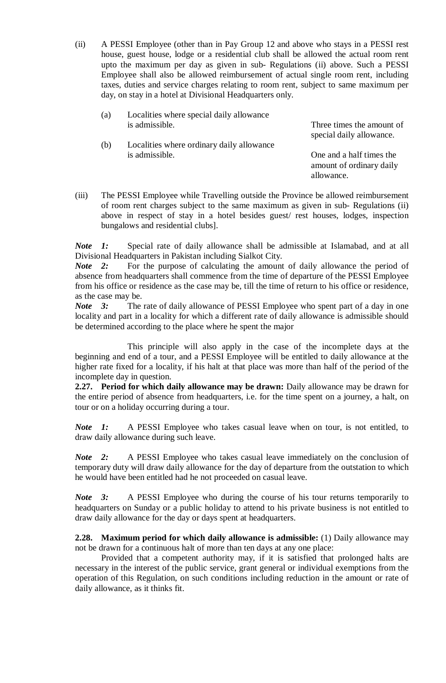(ii) A PESSI Employee (other than in Pay Group 12 and above who stays in a PESSI rest house, guest house, lodge or a residential club shall be allowed the actual room rent upto the maximum per day as given in sub- Regulations (ii) above. Such a PESSI Employee shall also be allowed reimbursement of actual single room rent, including taxes, duties and service charges relating to room rent, subject to same maximum per day, on stay in a hotel at Divisional Headquarters only.

| (a) | Localities where special daily allowance  |                                                                    |
|-----|-------------------------------------------|--------------------------------------------------------------------|
|     | is admissible.                            | Three times the amount of<br>special daily allowance.              |
| (b) | Localities where ordinary daily allowance |                                                                    |
|     | is admissible.                            | One and a half times the<br>amount of ordinary daily<br>allowance. |
|     |                                           |                                                                    |

(iii) The PESSI Employee while Travelling outside the Province be allowed reimbursement of room rent charges subject to the same maximum as given in sub- Regulations (ii) above in respect of stay in a hotel besides guest/ rest houses, lodges, inspection bungalows and residential clubs].

*Note 1:* Special rate of daily allowance shall be admissible at Islamabad, and at all Divisional Headquarters in Pakistan including Sialkot City.

*Note* 2: For the purpose of calculating the amount of daily allowance the period of absence from headquarters shall commence from the time of departure of the PESSI Employee from his office or residence as the case may be, till the time of return to his office or residence, as the case may be.

*Note* 3: The rate of daily allowance of PESSI Employee who spent part of a day in one locality and part in a locality for which a different rate of daily allowance is admissible should be determined according to the place where he spent the major

This principle will also apply in the case of the incomplete days at the beginning and end of a tour, and a PESSI Employee will be entitled to daily allowance at the higher rate fixed for a locality, if his halt at that place was more than half of the period of the incomplete day in question.

**2.27. Period for which daily allowance may be drawn:** Daily allowance may be drawn for the entire period of absence from headquarters, i.e. for the time spent on a journey, a halt, on tour or on a holiday occurring during a tour.

*Note 1:* A PESSI Employee who takes casual leave when on tour, is not entitled, to draw daily allowance during such leave.

*Note 2:* A PESSI Employee who takes casual leave immediately on the conclusion of temporary duty will draw daily allowance for the day of departure from the outstation to which he would have been entitled had he not proceeded on casual leave.

*Note 3:* A PESSI Employee who during the course of his tour returns temporarily to headquarters on Sunday or a public holiday to attend to his private business is not entitled to draw daily allowance for the day or days spent at headquarters.

**2.28. Maximum period for which daily allowance is admissible:** (1) Daily allowance may not be drawn for a continuous halt of more than ten days at any one place:

Provided that a competent authority may, if it is satisfied that prolonged halts are necessary in the interest of the public service, grant general or individual exemptions from the operation of this Regulation, on such conditions including reduction in the amount or rate of daily allowance, as it thinks fit.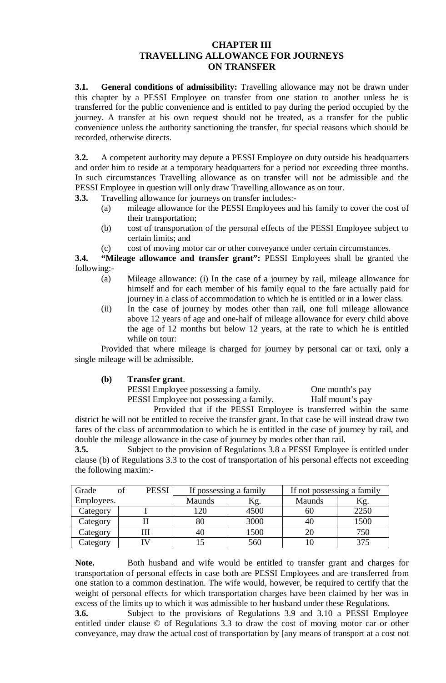## **CHAPTER III TRAVELLING ALLOWANCE FOR JOURNEYS ON TRANSFER**

**3.1. General conditions of admissibility:** Travelling allowance may not be drawn under this chapter by a PESSI Employee on transfer from one station to another unless he is transferred for the public convenience and is entitled to pay during the period occupied by the journey. A transfer at his own request should not be treated, as a transfer for the public convenience unless the authority sanctioning the transfer, for special reasons which should be recorded, otherwise directs.

**3.2.** A competent authority may depute a PESSI Employee on duty outside his headquarters and order him to reside at a temporary headquarters for a period not exceeding three months. In such circumstances Travelling allowance as on transfer will not be admissible and the PESSI Employee in question will only draw Travelling allowance as on tour.

- **3.3.** Travelling allowance for journeys on transfer includes:-
	- (a) mileage allowance for the PESSI Employees and his family to cover the cost of their transportation;
	- (b) cost of transportation of the personal effects of the PESSI Employee subject to certain limits; and
	- (c) cost of moving motor car or other conveyance under certain circumstances.

**3.4. "Mileage allowance and transfer grant":** PESSI Employees shall be granted the following:-

- (a) Mileage allowance: (i) In the case of a journey by rail, mileage allowance for himself and for each member of his family equal to the fare actually paid for journey in a class of accommodation to which he is entitled or in a lower class.
- (ii) In the case of journey by modes other than rail, one full mileage allowance above 12 years of age and one-half of mileage allowance for every child above the age of 12 months but below 12 years, at the rate to which he is entitled while on tour:

Provided that where mileage is charged for journey by personal car or taxi, only a single mileage will be admissible.

#### **(b) Transfer grant**.

PESSI Employee possessing a family. One month's pay PESSI Employee not possessing a family. Half mount's pay

Provided that if the PESSI Employee is transferred within the same district he will not be entitled to receive the transfer grant. In that case he will instead draw two fares of the class of accommodation to which he is entitled in the case of journey by rail, and

double the mileage allowance in the case of journey by modes other than rail. **3.5.** Subject to the provision of Regulations 3.8 a PESSI Employee is entitled under clause (b) of Regulations 3.3 to the cost of transportation of his personal effects not exceeding the following maxim:-

| Grade      | <b>PESSI</b> | If possessing a family |      | If not possessing a family |      |
|------------|--------------|------------------------|------|----------------------------|------|
| Employees. |              | <b>Maunds</b>          | Kg.  | <b>Maunds</b>              | Κg.  |
| Category   |              | 120                    | 4500 | 60                         | 2250 |
| Category   |              | 80                     | 3000 | 40                         | 1500 |
| Category   |              | 40                     | 1500 | 20                         | 750  |
| Category   |              |                        | 560  |                            | 375  |

Note. Both husband and wife would be entitled to transfer grant and charges for transportation of personal effects in case both are PESSI Employees and are transferred from one station to a common destination. The wife would, however, be required to certify that the weight of personal effects for which transportation charges have been claimed by her was in excess of the limits up to which it was admissible to her husband under these Regulations.

**3.6.** Subject to the provisions of Regulations 3.9 and 3.10 a PESSI Employee entitled under clause © of Regulations 3.3 to draw the cost of moving motor car or other conveyance, may draw the actual cost of transportation by [any means of transport at a cost not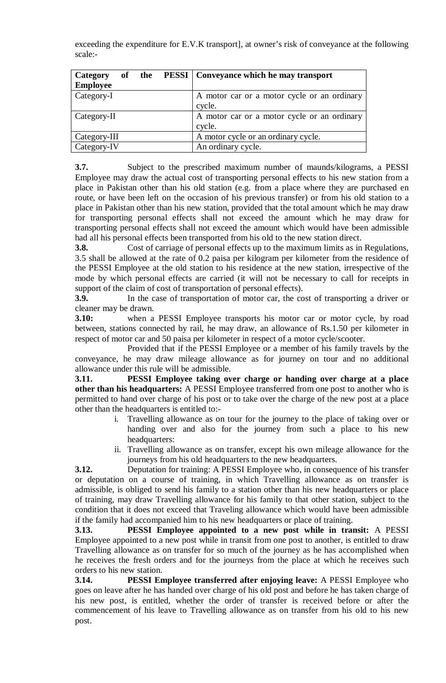exceeding the expenditure for E.V.K transport], at owner's risk of conveyance at the following scale:-

| Category        |  | of the PESSI   Conveyance which he may transport |
|-----------------|--|--------------------------------------------------|
| <b>Employee</b> |  |                                                  |
| Category-I      |  | A motor car or a motor cycle or an ordinary      |
|                 |  | cycle.                                           |
| Category-II     |  | A motor car or a motor cycle or an ordinary      |
|                 |  | cycle.                                           |
| Category-III    |  | A motor cycle or an ordinary cycle.              |
| Category-IV     |  | An ordinary cycle.                               |

**3.7.** Subject to the prescribed maximum number of maunds/kilograms, a PESSI Employee may draw the actual cost of transporting personal effects to his new station from a place in Pakistan other than his old station (e.g. from a place where they are purchased en route, or have been left on the occasion of his previous transfer) or from his old station to a place in Pakistan other than his new station, provided that the total amount which he may draw for transporting personal effects shall not exceed the amount which he may draw for transporting personal effects shall not exceed the amount which would have been admissible had all his personal effects been transported from his old to the new station direct.

**3.8.** Cost of carriage of personal effects up to the maximum limits as in Regulations, 3.5 shall be allowed at the rate of 0.2 paisa per kilogram per kilometer from the residence of the PESSI Employee at the old station to his residence at the new station, irrespective of the mode by which personal effects are carried (it will not be necessary to call for receipts in support of the claim of cost of transportation of personal effects).

**3.9.** In the case of transportation of motor car, the cost of transporting a driver or cleaner may be drawn.

**3.10:** when a PESSI Employee transports his motor car or motor cycle, by road between, stations connected by rail, he may draw, an allowance of Rs.1.50 per kilometer in respect of motor car and 50 paisa per kilometer in respect of a motor cycle/scooter.

Provided that if the PESSI Employee or a member of his family travels by the conveyance, he may draw mileage allowance as for journey on tour and no additional allowance under this rule will be admissible.

**3.11. PESSI Employee taking over charge or handing over charge at a place other than his headquarters:** A PESSI Employee transferred from one post to another who is permitted to hand over charge of his post or to take over the charge of the new post at a place other than the headquarters is entitled to:-

- i. Travelling allowance as on tour for the journey to the place of taking over or handing over and also for the journey from such a place to his new headquarters:
- ii. Travelling allowance as on transfer, except his own mileage allowance for the journeys from his old headquarters to the new headquarters.

**3.12.** Deputation for training: A PESSI Employee who, in consequence of his transfer or deputation on a course of training, in which Travelling allowance as on transfer is admissible, is obliged to send his family to a station other than his new headquarters or place of training, may draw Travelling allowance for his family to that other station, subject to the condition that it does not exceed that Traveling allowance which would have been admissible if the family had accompanied him to his new headquarters or place of training.

**3.13. PESSI Employee appointed to a new post while in transit:** A PESSI Employee appointed to a new post while in transit from one post to another, is entitled to draw Travelling allowance as on transfer for so much of the journey as he has accomplished when he receives the fresh orders and for the journeys from the place at which he receives such orders to his new station.

**3.14. PESSI Employee transferred after enjoying leave:** A PESSI Employee who goes on leave after he has handed over charge of his old post and before he has taken charge of his new post, is entitled, whether the order of transfer is received before or after the commencement of his leave to Travelling allowance as on transfer from his old to his new post.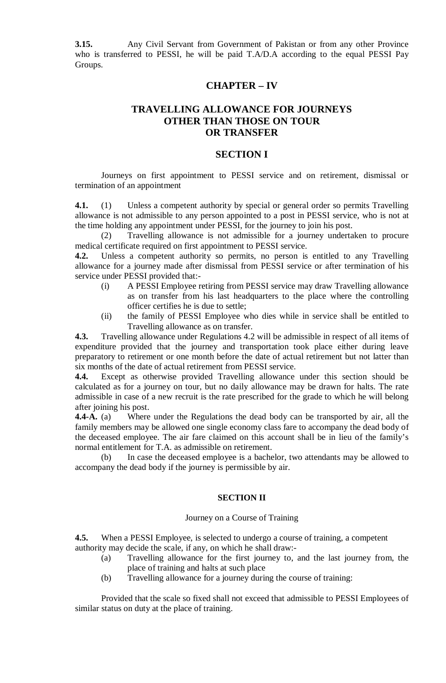**3.15.** Any Civil Servant from Government of Pakistan or from any other Province who is transferred to PESSI, he will be paid T.A/D.A according to the equal PESSI Pay Groups.

## **CHAPTER – IV**

## **TRAVELLING ALLOWANCE FOR JOURNEYS OTHER THAN THOSE ON TOUR OR TRANSFER**

#### **SECTION I**

Journeys on first appointment to PESSI service and on retirement, dismissal or termination of an appointment

**4.1.** (1) Unless a competent authority by special or general order so permits Travelling allowance is not admissible to any person appointed to a post in PESSI service, who is not at the time holding any appointment under PESSI, for the journey to join his post.

(2) Travelling allowance is not admissible for a journey undertaken to procure medical certificate required on first appointment to PESSI service.

**4.2.** Unless a competent authority so permits, no person is entitled to any Travelling allowance for a journey made after dismissal from PESSI service or after termination of his service under PESSI provided that:-

- (i) A PESSI Employee retiring from PESSI service may draw Travelling allowance as on transfer from his last headquarters to the place where the controlling officer certifies he is due to settle;
- (ii) the family of PESSI Employee who dies while in service shall be entitled to Travelling allowance as on transfer.

**4.3.** Travelling allowance under Regulations 4.2 will be admissible in respect of all items of expenditure provided that the journey and transportation took place either during leave preparatory to retirement or one month before the date of actual retirement but not latter than six months of the date of actual retirement from PESSI service.

**4.4.** Except as otherwise provided Travelling allowance under this section should be calculated as for a journey on tour, but no daily allowance may be drawn for halts. The rate admissible in case of a new recruit is the rate prescribed for the grade to which he will belong after joining his post.

**4.4-A.** (a) Where under the Regulations the dead body can be transported by air, all the family members may be allowed one single economy class fare to accompany the dead body of the deceased employee. The air fare claimed on this account shall be in lieu of the family's normal entitlement for T.A. as admissible on retirement.

(b) In case the deceased employee is a bachelor, two attendants may be allowed to accompany the dead body if the journey is permissible by air.

#### **SECTION II**

#### Journey on a Course of Training

**4.5.** When a PESSI Employee, is selected to undergo a course of training, a competent authority may decide the scale, if any, on which he shall draw:-

- (a) Travelling allowance for the first journey to, and the last journey from, the place of training and halts at such place
- (b) Travelling allowance for a journey during the course of training:

Provided that the scale so fixed shall not exceed that admissible to PESSI Employees of similar status on duty at the place of training.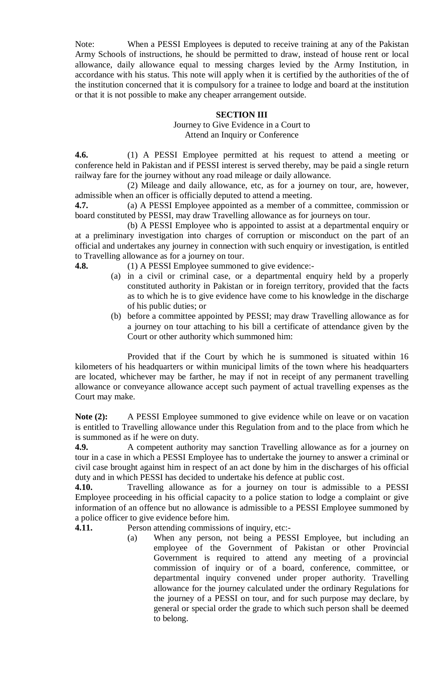Note: When a PESSI Employees is deputed to receive training at any of the Pakistan Army Schools of instructions, he should be permitted to draw, instead of house rent or local allowance, daily allowance equal to messing charges levied by the Army Institution, in accordance with his status. This note will apply when it is certified by the authorities of the of the institution concerned that it is compulsory for a trainee to lodge and board at the institution or that it is not possible to make any cheaper arrangement outside.

#### **SECTION III**

Journey to Give Evidence in a Court to Attend an Inquiry or Conference

**4.6.** (1) A PESSI Employee permitted at his request to attend a meeting or conference held in Pakistan and if PESSI interest is served thereby, may be paid a single return railway fare for the journey without any road mileage or daily allowance.

(2) Mileage and daily allowance, etc, as for a journey on tour, are, however, admissible when an officer is officially deputed to attend a meeting.

**4.7.** (a) A PESSI Employee appointed as a member of a committee, commission or board constituted by PESSI, may draw Travelling allowance as for journeys on tour.

(b) A PESSI Employee who is appointed to assist at a departmental enquiry or at a preliminary investigation into charges of corruption or misconduct on the part of an official and undertakes any journey in connection with such enquiry or investigation, is entitled to Travelling allowance as for a journey on tour.

**4.8.** (1) A PESSI Employee summoned to give evidence:-

- (a) in a civil or criminal case, or a departmental enquiry held by a properly constituted authority in Pakistan or in foreign territory, provided that the facts as to which he is to give evidence have come to his knowledge in the discharge of his public duties; or
- (b) before a committee appointed by PESSI; may draw Travelling allowance as for a journey on tour attaching to his bill a certificate of attendance given by the Court or other authority which summoned him:

Provided that if the Court by which he is summoned is situated within 16 kilometers of his headquarters or within municipal limits of the town where his headquarters are located, whichever may be farther, he may if not in receipt of any permanent travelling allowance or conveyance allowance accept such payment of actual travelling expenses as the Court may make.

**Note (2):** A PESSI Employee summoned to give evidence while on leave or on vacation is entitled to Travelling allowance under this Regulation from and to the place from which he is summoned as if he were on duty.

**4.9.** A competent authority may sanction Travelling allowance as for a journey on tour in a case in which a PESSI Employee has to undertake the journey to answer a criminal or civil case brought against him in respect of an act done by him in the discharges of his official duty and in which PESSI has decided to undertake his defence at public cost.

**4.10.** Travelling allowance as for a journey on tour is admissible to a PESSI Employee proceeding in his official capacity to a police station to lodge a complaint or give information of an offence but no allowance is admissible to a PESSI Employee summoned by a police officer to give evidence before him.

**4.11.** Person attending commissions of inquiry, etc:-

(a) When any person, not being a PESSI Employee, but including an employee of the Government of Pakistan or other Provincial Government is required to attend any meeting of a provincial commission of inquiry or of a board, conference, committee, or departmental inquiry convened under proper authority. Travelling allowance for the journey calculated under the ordinary Regulations for the journey of a PESSI on tour, and for such purpose may declare, by general or special order the grade to which such person shall be deemed to belong.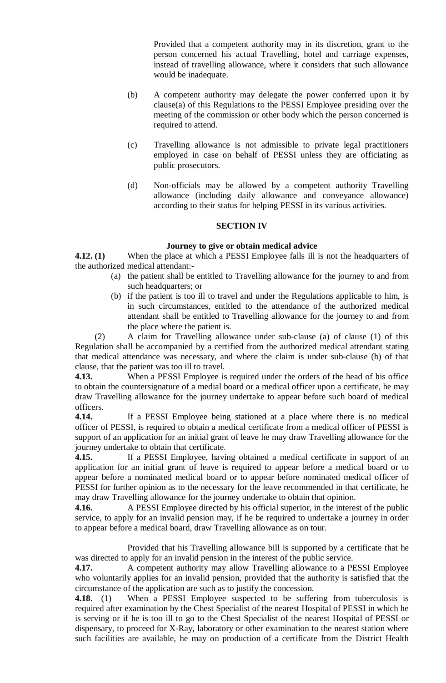Provided that a competent authority may in its discretion, grant to the person concerned his actual Travelling, hotel and carriage expenses, instead of travelling allowance, where it considers that such allowance would be inadequate.

- (b) A competent authority may delegate the power conferred upon it by clause(a) of this Regulations to the PESSI Employee presiding over the meeting of the commission or other body which the person concerned is required to attend.
- (c) Travelling allowance is not admissible to private legal practitioners employed in case on behalf of PESSI unless they are officiating as public prosecutors.
- (d) Non-officials may be allowed by a competent authority Travelling allowance (including daily allowance and conveyance allowance) according to their status for helping PESSI in its various activities.

#### **SECTION IV**

#### **Journey to give or obtain medical advice**

**4.12. (1)** When the place at which a PESSI Employee falls ill is not the headquarters of the authorized medical attendant:-

- (a) the patient shall be entitled to Travelling allowance for the journey to and from such headquarters; or
- (b) if the patient is too ill to travel and under the Regulations applicable to him, is in such circumstances, entitled to the attendance of the authorized medical attendant shall be entitled to Travelling allowance for the journey to and from the place where the patient is.

(2) A claim for Travelling allowance under sub-clause (a) of clause (1) of this Regulation shall be accompanied by a certified from the authorized medical attendant stating that medical attendance was necessary, and where the claim is under sub-clause (b) of that clause, that the patient was too ill to travel.

**4.13.** When a PESSI Employee is required under the orders of the head of his office to obtain the countersignature of a medial board or a medical officer upon a certificate, he may draw Travelling allowance for the journey undertake to appear before such board of medical officers.

**4.14.** If a PESSI Employee being stationed at a place where there is no medical officer of PESSI, is required to obtain a medical certificate from a medical officer of PESSI is support of an application for an initial grant of leave he may draw Travelling allowance for the journey undertake to obtain that certificate.

**4.15.** If a PESSI Employee, having obtained a medical certificate in support of an application for an initial grant of leave is required to appear before a medical board or to appear before a nominated medical board or to appear before nominated medical officer of PESSI for further opinion as to the necessary for the leave recommended in that certificate, he may draw Travelling allowance for the journey undertake to obtain that opinion.

**4.16.** A PESSI Employee directed by his official superior, in the interest of the public service, to apply for an invalid pension may, if he be required to undertake a journey in order to appear before a medical board, draw Travelling allowance as on tour.

Provided that his Travelling allowance bill is supported by a certificate that he was directed to apply for an invalid pension in the interest of the public service.

**4.17.** A competent authority may allow Travelling allowance to a PESSI Employee who voluntarily applies for an invalid pension, provided that the authority is satisfied that the circumstance of the application are such as to justify the concession.

**4.18.** (1) When a PESSI Employee suspected to be suffering from tuberculosis is required after examination by the Chest Specialist of the nearest Hospital of PESSI in which he is serving or if he is too ill to go to the Chest Specialist of the nearest Hospital of PESSI or dispensary, to proceed for X-Ray, laboratory or other examination to the nearest station where such facilities are available, he may on production of a certificate from the District Health